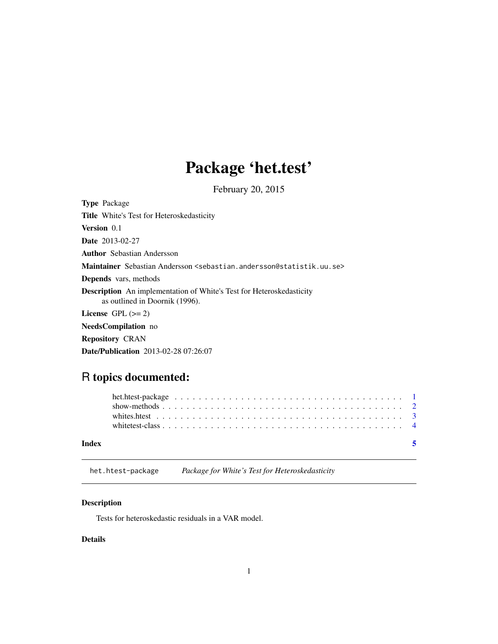## Package 'het.test'

February 20, 2015

<span id="page-0-1"></span><span id="page-0-0"></span>Type Package Title White's Test for Heteroskedasticity Version 0.1 Date 2013-02-27 Author Sebastian Andersson Maintainer Sebastian Andersson <sebastian.andersson@statistik.uu.se> Depends vars, methods Description An implementation of White's Test for Heteroskedasticity as outlined in Doornik (1996). License GPL  $(>= 2)$ NeedsCompilation no Repository CRAN

Date/Publication 2013-02-28 07:26:07

### R topics documented:

| Index |  |  |  |  |  |  |  |  |  |  |  |  |  |  |  |  |  |
|-------|--|--|--|--|--|--|--|--|--|--|--|--|--|--|--|--|--|

het.htest-package *Package for White's Test for Heteroskedasticity*

#### Description

Tests for heteroskedastic residuals in a VAR model.

#### Details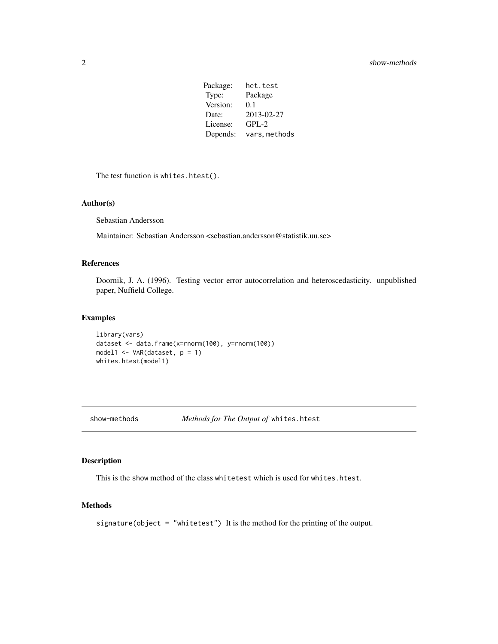Package: het.test Type: Package Version: 0.1 Date: 2013-02-27 License: GPL-2 Depends: vars, methods

<span id="page-1-0"></span>The test function is whites.htest().

#### Author(s)

Sebastian Andersson

Maintainer: Sebastian Andersson <sebastian.andersson@statistik.uu.se>

#### References

Doornik, J. A. (1996). Testing vector error autocorrelation and heteroscedasticity. unpublished paper, Nuffield College.

#### Examples

```
library(vars)
dataset <- data.frame(x=rnorm(100), y=rnorm(100))
model1 <- VAR(dataset, p = 1)
whites.htest(model1)
```
show-methods *Methods for The Output of* whites.htest

#### Description

This is the show method of the class whitetest which is used for whites.htest.

#### Methods

signature(object = "whitetest") It is the method for the printing of the output.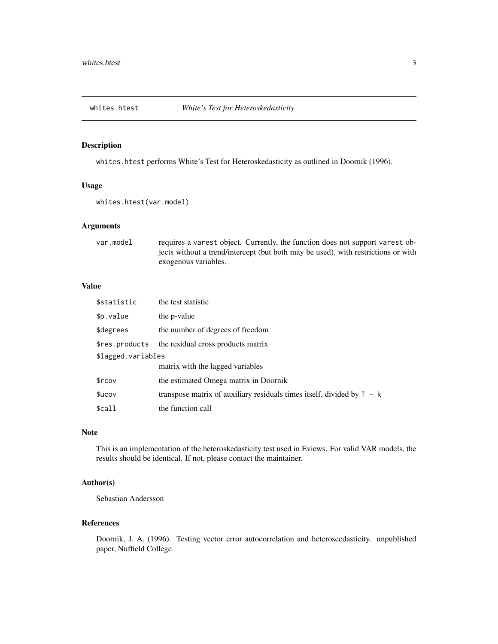<span id="page-2-0"></span>

#### Description

whites.htest performs White's Test for Heteroskedasticity as outlined in Doornik (1996).

#### Usage

```
whites.htest(var.model)
```
#### Arguments

| var.model | requires a variest object. Currently, the function does not support variest ob-   |
|-----------|-----------------------------------------------------------------------------------|
|           | jects without a trend/intercept (but both may be used), with restrictions or with |
|           | exogenous variables.                                                              |

#### Value

| \$statistic        | the test statistic                                                       |
|--------------------|--------------------------------------------------------------------------|
| \$p.value          | the p-value                                                              |
| \$degrees          | the number of degrees of freedom                                         |
| \$res.products     | the residual cross products matrix                                       |
| \$lagged.variables |                                                                          |
|                    | matrix with the lagged variables                                         |
| \$rcov             | the estimated Omega matrix in Doornik                                    |
| \$ucov             | transpose matrix of auxiliary residuals times itself, divided by $T - k$ |
| \$call             | the function call                                                        |

#### Note

This is an implementation of the heteroskedasticity test used in Eviews. For valid VAR models, the results should be identical. If not, please contact the maintainer.

#### Author(s)

Sebastian Andersson

#### References

Doornik, J. A. (1996). Testing vector error autocorrelation and heteroscedasticity. unpublished paper, Nuffield College.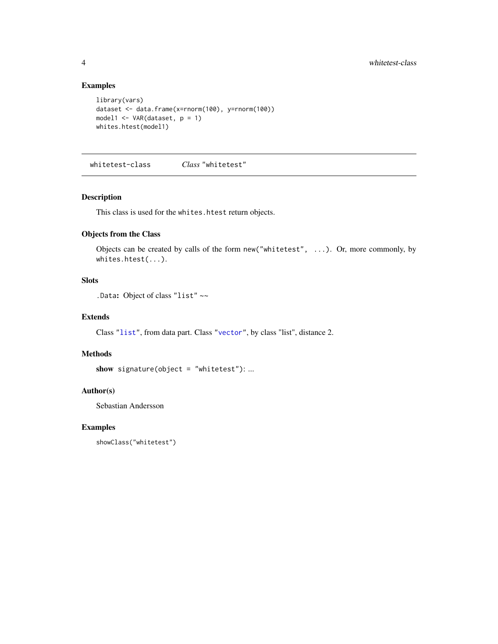#### Examples

```
library(vars)
dataset <- data.frame(x=rnorm(100), y=rnorm(100))
model1 <- VAR(dataset, p = 1)
whites.htest(model1)
```
whitetest-class *Class* "whitetest"

#### Description

This class is used for the whites.htest return objects.

#### Objects from the Class

Objects can be created by calls of the form new("whitetest", ...). Or, more commonly, by whites.htest(...).

#### Slots

.Data: Object of class "list" ~~

#### Extends

Class ["list"](#page-0-1), from data part. Class ["vector"](#page-0-1), by class "list", distance 2.

#### Methods

```
show signature(object = "whitetest"): ...
```
#### Author(s)

Sebastian Andersson

#### Examples

showClass("whitetest")

<span id="page-3-0"></span>